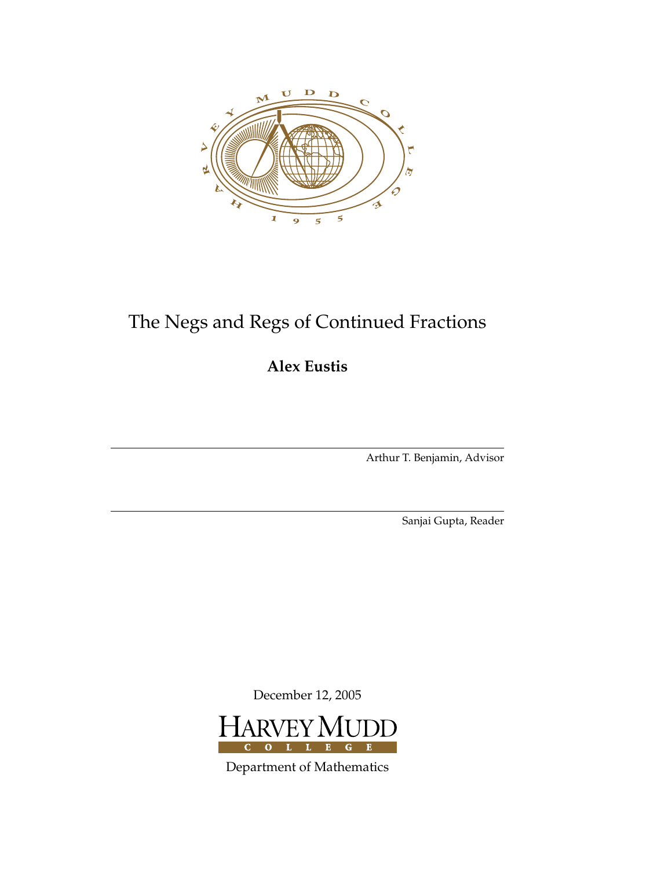

# The Negs and Regs of Continued Fractions

**Alex Eustis**

Arthur T. Benjamin, Advisor

Sanjai Gupta, Reader

December 12, 2005



Department of Mathematics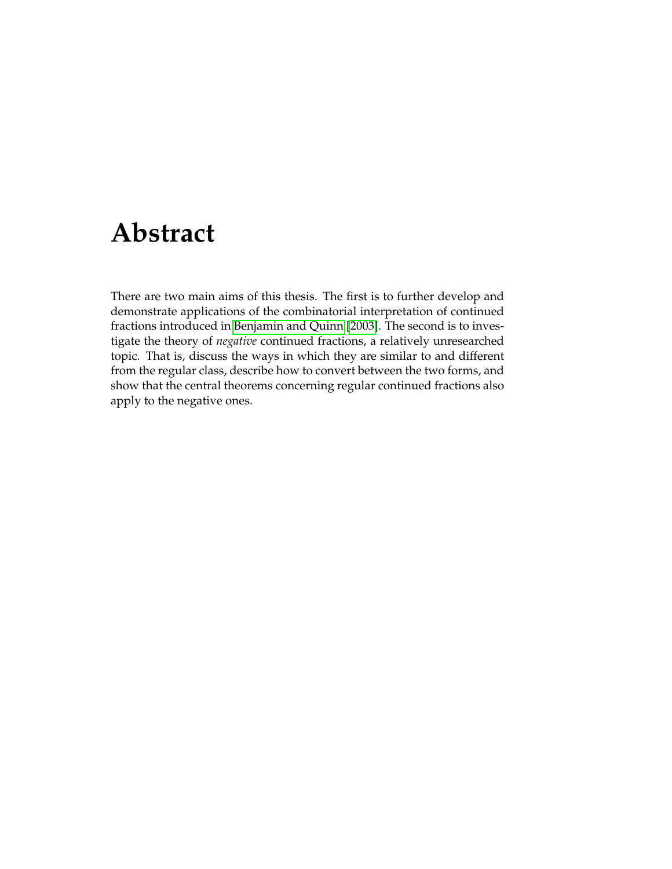# **Abstract**

<span id="page-2-0"></span>There are two main aims of this thesis. The first is to further develop and demonstrate applications of the combinatorial interpretation of continued fractions introduced in [Benjamin and Quinn](#page-28-0) [\[2003\]](#page-28-0). The second is to investigate the theory of *negative* continued fractions, a relatively unresearched topic. That is, discuss the ways in which they are similar to and different from the regular class, describe how to convert between the two forms, and show that the central theorems concerning regular continued fractions also apply to the negative ones.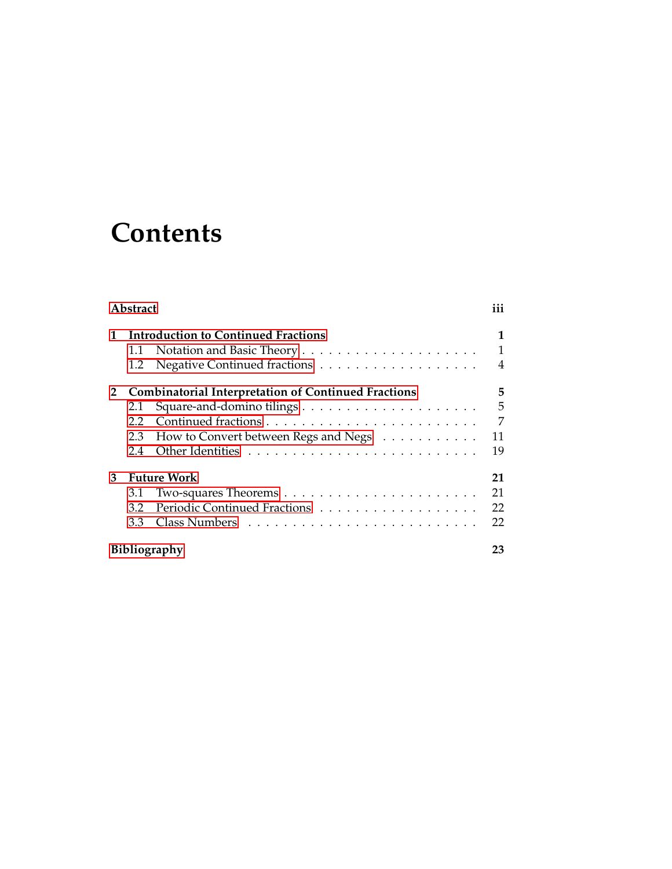# **Contents**

| <b>Abstract</b> |                                                            |                                            |        |  |
|-----------------|------------------------------------------------------------|--------------------------------------------|--------|--|
| 1               | 1.1<br>1.2                                                 | <b>Introduction to Continued Fractions</b> | 1<br>4 |  |
| $\mathbf{2}$    | <b>Combinatorial Interpretation of Continued Fractions</b> |                                            |        |  |
|                 | 2.1                                                        |                                            | 5      |  |
|                 | 2.2                                                        |                                            | 7      |  |
|                 | 2.3                                                        | How to Convert between Regs and Negs       | 11     |  |
|                 | 2.4                                                        |                                            | 19     |  |
| 3               | <b>Future Work</b>                                         |                                            | 21     |  |
|                 | 3.1                                                        |                                            | 21     |  |
|                 | 3.2                                                        |                                            | 22     |  |
|                 | 3.3                                                        |                                            | 22     |  |
|                 | <b>Bibliography</b>                                        |                                            |        |  |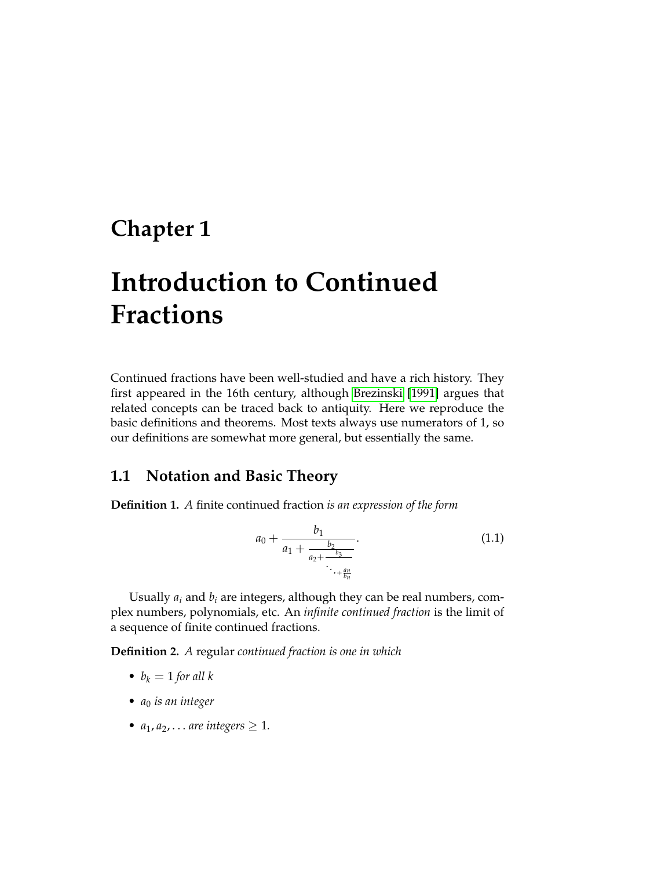# <span id="page-6-0"></span>**Chapter 1**

# **Introduction to Continued Fractions**

Continued fractions have been well-studied and have a rich history. They first appeared in the 16th century, although [Brezinski](#page-28-2) [\[1991\]](#page-28-2) argues that related concepts can be traced back to antiquity. Here we reproduce the basic definitions and theorems. Most texts always use numerators of 1, so our definitions are somewhat more general, but essentially the same.

### <span id="page-6-1"></span>**1.1 Notation and Basic Theory**

**Definition 1.** *A* finite continued fraction *is an expression of the form*

$$
a_0 + \frac{b_1}{a_1 + \frac{b_2}{a_2 + \frac{b_3}{\ddots + \frac{an}{b_n}}}}.
$$
\n(1.1)

Usually  $a_i$  and  $b_i$  are integers, although they can be real numbers, complex numbers, polynomials, etc. An *infinite continued fraction* is the limit of a sequence of finite continued fractions.

**Definition 2.** *A* regular *continued fraction is one in which*

- $b_k = 1$  *for all*  $k$
- *a*<sup>0</sup> *is an integer*
- $a_1, a_2, \ldots$  *are integers*  $\geq 1$ *.*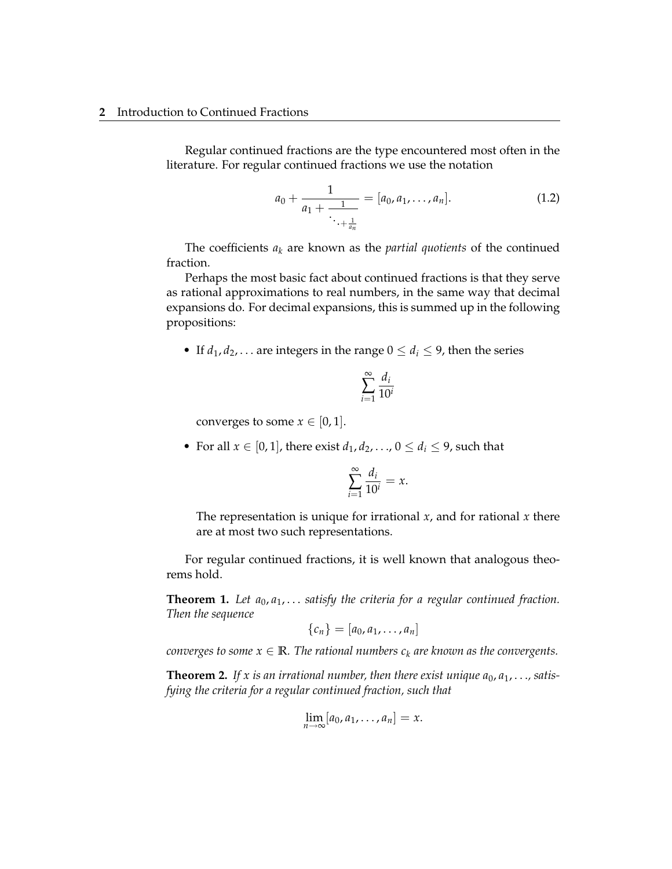Regular continued fractions are the type encountered most often in the literature. For regular continued fractions we use the notation

$$
a_0 + \frac{1}{a_1 + \frac{1}{\ddots + \frac{1}{a_n}}} = [a_0, a_1, \dots, a_n].
$$
 (1.2)

The coefficients  $a_k$  are known as the *partial quotients* of the continued fraction.

Perhaps the most basic fact about continued fractions is that they serve as rational approximations to real numbers, in the same way that decimal expansions do. For decimal expansions, this is summed up in the following propositions:

• If  $d_1, d_2, \ldots$  are integers in the range  $0 \leq d_i \leq 9$ , then the series

$$
\sum_{i=1}^{\infty} \frac{d_i}{10^i}
$$

converges to some  $x \in [0, 1]$ .

• For all  $x \in [0, 1]$ , there exist  $d_1, d_2, \ldots, 0 \leq d_i \leq 9$ , such that

$$
\sum_{i=1}^{\infty} \frac{d_i}{10^i} = x.
$$

The representation is unique for irrational *x*, and for rational *x* there are at most two such representations.

For regular continued fractions, it is well known that analogous theorems hold.

**Theorem 1.** *Let a*0, *a*1, . . . *satisfy the criteria for a regular continued fraction. Then the sequence*

$$
\{c_n\}=[a_0,a_1,\ldots,a_n]
$$

*converges to some*  $x \in \mathbb{R}$ *. The rational numbers*  $c_k$  *are known as the convergents.* 

**Theorem 2.** If x is an irrational number, then there exist unique  $a_0, a_1, \ldots$ , satis*fying the criteria for a regular continued fraction, such that*

$$
\lim_{n\to\infty}[a_0,a_1,\ldots,a_n]=x.
$$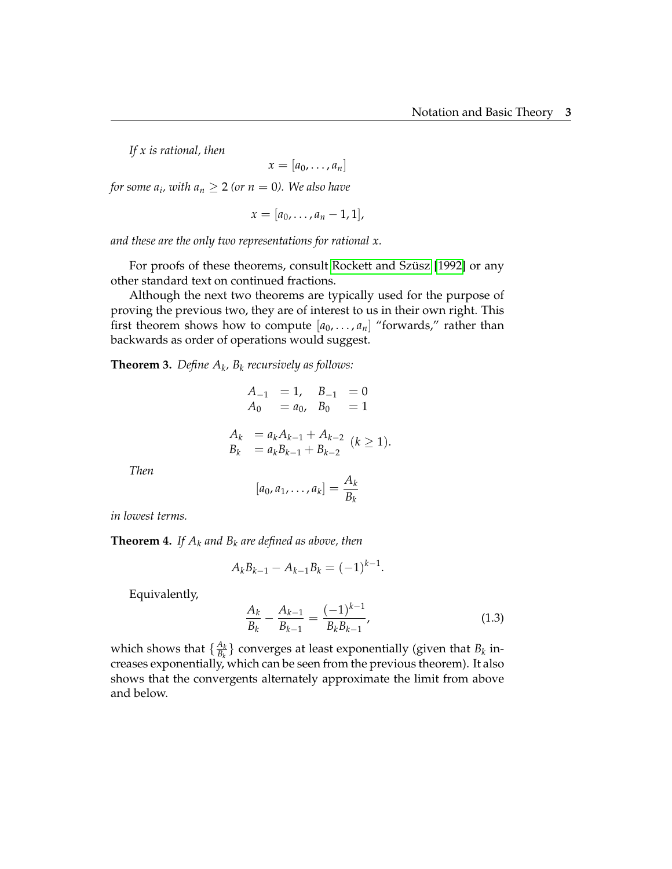*If x is rational, then*

 $x = [a_0, \ldots, a_n]$ 

*for some*  $a_i$ *, with*  $a_n \geq 2$  *(or*  $n = 0$ *). We also have* 

 $x = [a_0, \ldots, a_n - 1, 1],$ 

*and these are the only two representations for rational x.*

For proofs of these theorems, consult Rockett and Szüsz [\[1992\]](#page-28-3) or any other standard text on continued fractions.

Although the next two theorems are typically used for the purpose of proving the previous two, they are of interest to us in their own right. This first theorem shows how to compute  $[a_0, \ldots, a_n]$  "forwards," rather than backwards as order of operations would suggest.

<span id="page-8-0"></span>**Theorem 3.** *Define A<sup>k</sup> , B<sup>k</sup> recursively as follows:*

$$
A_{-1} = 1, B_{-1} = 0
$$
  
\n
$$
A_0 = a_0, B_0 = 1
$$
  
\n
$$
A_k = a_k A_{k-1} + A_{k-2} (k \ge 1).
$$
  
\n
$$
B_k = a_k B_{k-1} + B_{k-2} (k \ge 1).
$$

*Then*

$$
[a_0,a_1,\ldots,a_k]=\frac{A_k}{B_k}
$$

*in lowest terms.*

<span id="page-8-1"></span>**Theorem 4.** *If*  $A_k$  *and*  $B_k$  *are defined as above, then* 

$$
A_k B_{k-1} - A_{k-1} B_k = (-1)^{k-1}.
$$

Equivalently,

$$
\frac{A_k}{B_k} - \frac{A_{k-1}}{B_{k-1}} = \frac{(-1)^{k-1}}{B_k B_{k-1}},
$$
\n(1.3)

which shows that  $\{\frac{A_k}{B_k}\}$  $\frac{A_k}{B_k}$ } converges at least exponentially (given that  $B_k$  increases exponentially, which can be seen from the previous theorem). It also shows that the convergents alternately approximate the limit from above and below.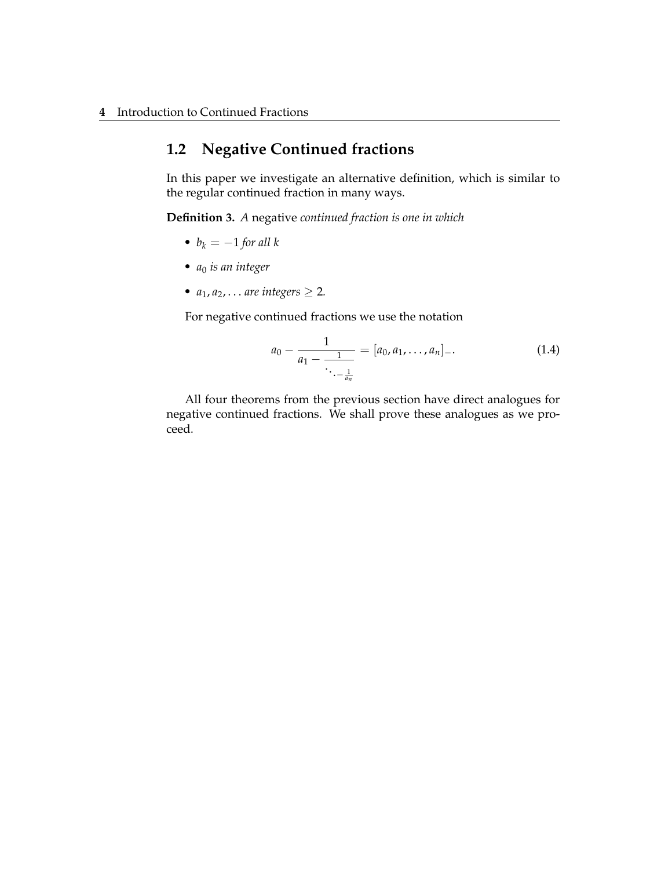### <span id="page-9-0"></span>**1.2 Negative Continued fractions**

In this paper we investigate an alternative definition, which is similar to the regular continued fraction in many ways.

**Definition 3.** *A* negative *continued fraction is one in which*

- $b_k = -1$  *for all*  $k$
- *a*<sup>0</sup> *is an integer*
- $a_1, a_2, \ldots$  *are integers*  $\geq 2$ *.*

For negative continued fractions we use the notation

$$
a_0 - \frac{1}{a_1 - \frac{1}{\ddots - \frac{1}{a_n}}} = [a_0, a_1, \dots, a_n] - \tag{1.4}
$$

All four theorems from the previous section have direct analogues for negative continued fractions. We shall prove these analogues as we proceed.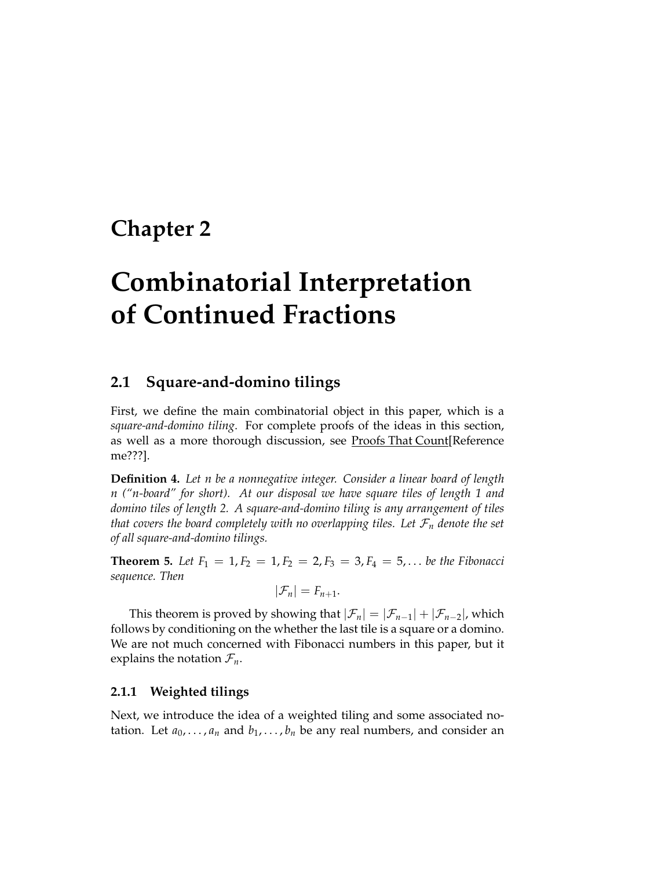## <span id="page-10-0"></span>**Chapter 2**

# **Combinatorial Interpretation of Continued Fractions**

### <span id="page-10-1"></span>**2.1 Square-and-domino tilings**

First, we define the main combinatorial object in this paper, which is a *square-and-domino tiling*. For complete proofs of the ideas in this section, as well as a more thorough discussion, see Proofs That Count[Reference me???].

**Definition 4.** *Let n be a nonnegative integer. Consider a linear board of length n ("n-board" for short). At our disposal we have square tiles of length 1 and domino tiles of length 2. A square-and-domino tiling is any arrangement of tiles that covers the board completely with no overlapping tiles. Let*  $\mathcal{F}_n$  *denote the set of all square-and-domino tilings.*

<span id="page-10-2"></span>**Theorem 5.** Let  $F_1 = 1, F_2 = 1, F_2 = 2, F_3 = 3, F_4 = 5, \ldots$  be the Fibonacci *sequence. Then*

$$
|\mathcal{F}_n|=F_{n+1}.
$$

This theorem is proved by showing that  $|\mathcal{F}_n| = |\mathcal{F}_{n-1}| + |\mathcal{F}_{n-2}|$ , which follows by conditioning on the whether the last tile is a square or a domino. We are not much concerned with Fibonacci numbers in this paper, but it explains the notation  $\mathcal{F}_n$ .

#### **2.1.1 Weighted tilings**

Next, we introduce the idea of a weighted tiling and some associated notation. Let  $a_0, \ldots, a_n$  and  $b_1, \ldots, b_n$  be any real numbers, and consider an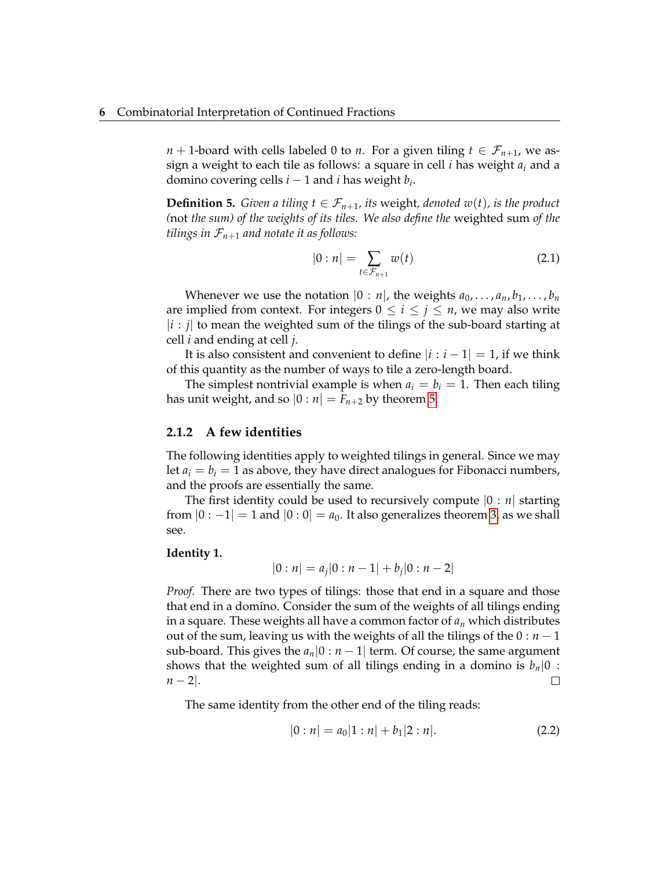*n* + 1-board with cells labeled 0 to *n*. For a given tiling  $t \in \mathcal{F}_{n+1}$ , we assign a weight to each tile as follows: a square in cell *i* has weight *a<sup>i</sup>* and a domino covering cells  $i-1$  and  $i$  has weight  $b_i$ .

**Definition 5.** *Given a tiling*  $t \in \mathcal{F}_{n+1}$ *, its weight, denoted w(t), is the product (*not *the sum) of the weights of its tiles. We also define the* weighted sum *of the tilings in*  $\mathcal{F}_{n+1}$  *and notate it as follows:* 

$$
|0:n| = \sum_{t \in \mathcal{F}_{n+1}} w(t) \tag{2.1}
$$

Whenever we use the notation  $|0 : n|$ , the weights  $a_0, \ldots, a_n, b_1, \ldots, b_n$ are implied from context. For integers  $0 \le i \le j \le n$ , we may also write  $|i:j|$  to mean the weighted sum of the tilings of the sub-board starting at cell *i* and ending at cell *j*.

It is also consistent and convenient to define  $|i:i-1|=1$ , if we think of this quantity as the number of ways to tile a zero-length board.

The simplest nontrivial example is when  $a_i = b_i = 1$ . Then each tiling has unit weight, and so  $|0 : n| = F_{n+2}$  by theorem [5.](#page-10-2)

#### **2.1.2 A few identities**

The following identities apply to weighted tilings in general. Since we may let  $a_i = b_i = 1$  as above, they have direct analogues for Fibonacci numbers, and the proofs are essentially the same.

The first identity could be used to recursively compute |0 : *n*| starting from  $|0:-1|=1$  and  $|0:0|=a_0$ . It also generalizes theorem [3,](#page-8-0) as we shall see.

#### <span id="page-11-0"></span>**Identity 1.**

$$
|0:n| = a_j|0:n-1| + b_j|0:n-2|
$$

*Proof.* There are two types of tilings: those that end in a square and those that end in a domino. Consider the sum of the weights of all tilings ending in a square. These weights all have a common factor of *a<sup>n</sup>* which distributes out of the sum, leaving us with the weights of all the tilings of the  $0 : n - 1$ sub-board. This gives the  $a_n|0 : n-1|$  term. Of course, the same argument shows that the weighted sum of all tilings ending in a domino is  $b_n|0$ :  $n-2$ |.  $\Box$ 

The same identity from the other end of the tiling reads:

$$
|0:n| = a_0|1:n| + b_1|2:n|.
$$
 (2.2)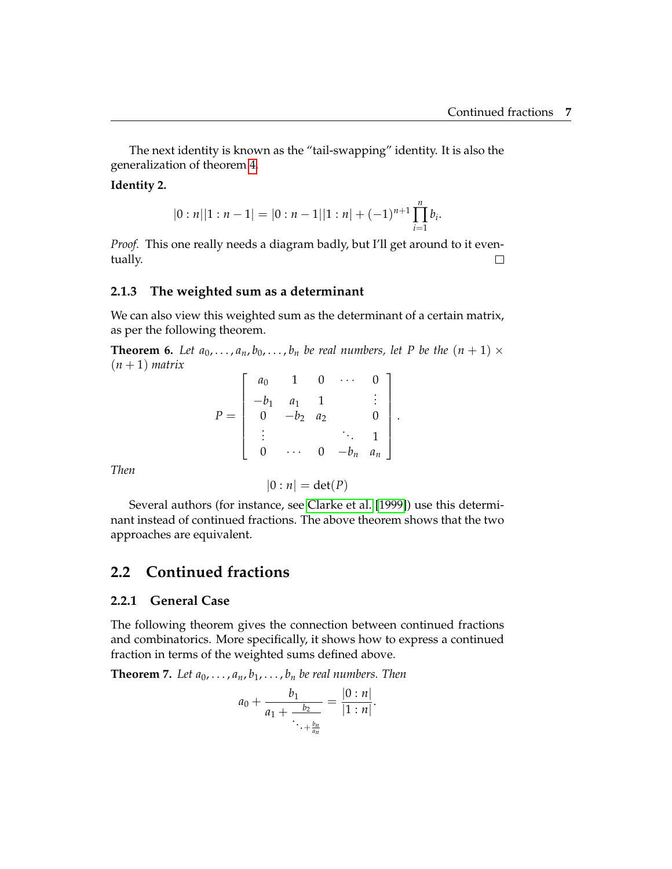The next identity is known as the "tail-swapping" identity. It is also the generalization of theorem [4.](#page-8-1)

#### <span id="page-12-2"></span>**Identity 2.**

$$
|0:n||1:n-1|=|0:n-1||1:n|+(-1)^{n+1}\prod_{i=1}^n b_i.
$$

*Proof.* This one really needs a diagram badly, but I'll get around to it eventually.  $\Box$ 

#### **2.1.3 The weighted sum as a determinant**

We can also view this weighted sum as the determinant of a certain matrix, as per the following theorem.

**Theorem 6.** Let  $a_0, \ldots, a_n, b_0, \ldots, b_n$  be real numbers, let P be the  $(n + 1) \times$  $(n+1)$  *matrix* 

$$
P = \begin{bmatrix} a_0 & 1 & 0 & \cdots & 0 \\ -b_1 & a_1 & 1 & & \vdots \\ 0 & -b_2 & a_2 & & 0 \\ \vdots & & & \ddots & 1 \\ 0 & \cdots & 0 & -b_n & a_n \end{bmatrix}.
$$

*Then*

$$
0:n|=\det(P)
$$

Several authors (for instance, see [Clarke et al.](#page-28-4) [\[1999\]](#page-28-4)) use this determinant instead of continued fractions. The above theorem shows that the two approaches are equivalent.

### <span id="page-12-0"></span>**2.2 Continued fractions**

#### **2.2.1 General Case**

The following theorem gives the connection between continued fractions and combinatorics. More specifically, it shows how to express a continued fraction in terms of the weighted sums defined above.

<span id="page-12-1"></span>**Theorem 7.** Let  $a_0, \ldots, a_n, b_1, \ldots, b_n$  be real numbers. Then

$$
a_0 + \frac{b_1}{a_1 + \frac{b_2}{\ddots + \frac{b_n}{a_n}}} = \frac{|0 : n|}{|1 : n|}.
$$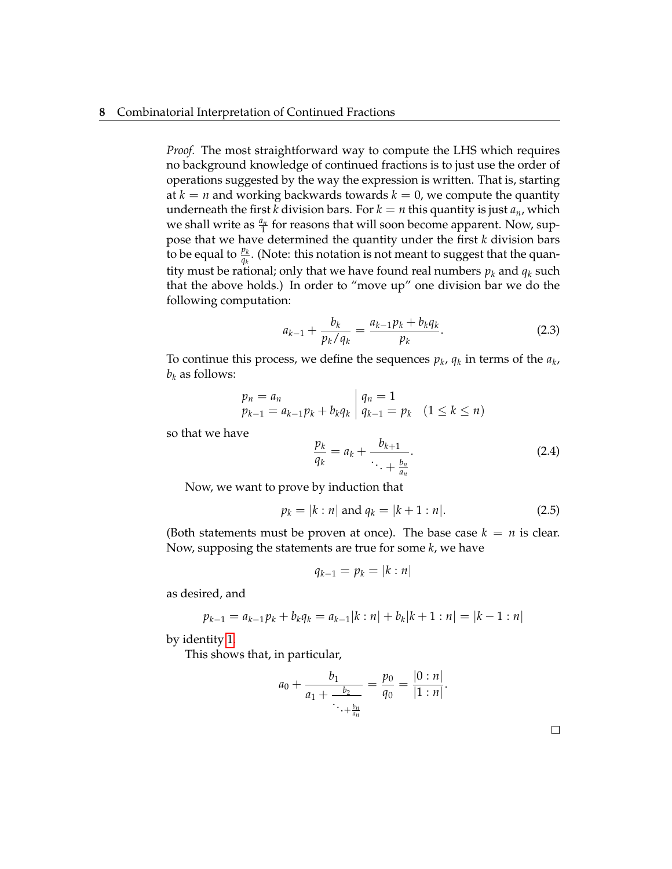#### **8** Combinatorial Interpretation of Continued Fractions

*Proof.* The most straightforward way to compute the LHS which requires no background knowledge of continued fractions is to just use the order of operations suggested by the way the expression is written. That is, starting at  $k = n$  and working backwards towards  $k = 0$ , we compute the quantity underneath the first *k* division bars. For  $k = n$  this quantity is just  $a_n$ , which we shall write as  $\frac{a_n}{1}$  for reasons that will soon become apparent. Now, suppose that we have determined the quantity under the first *k* division bars to be equal to  $\frac{p_k}{q_k}$ . (Note: this notation is not meant to suggest that the quantity must be rational; only that we have found real numbers  $p_k$  and  $q_k$  such that the above holds.) In order to "move up" one division bar we do the following computation:

$$
a_{k-1} + \frac{b_k}{p_k/q_k} = \frac{a_{k-1}p_k + b_kq_k}{p_k}.
$$
 (2.3)

To continue this process, we define the sequences  $p_k$ ,  $q_k$  in terms of the  $a_k$ ,  $b_k$  as follows:

$$
p_n = a_n
$$
  

$$
p_{k-1} = a_{k-1}p_k + b_kq_k | q_{k-1} = p_k (1 \le k \le n)
$$

so that we have

$$
\frac{p_k}{q_k} = a_k + \frac{b_{k+1}}{\ddots + \frac{b_n}{a_n}}.\tag{2.4}
$$

Now, we want to prove by induction that

$$
p_k = |k : n| \text{ and } q_k = |k + 1 : n|.
$$
 (2.5)

(Both statements must be proven at once). The base case  $k = n$  is clear. Now, supposing the statements are true for some *k*, we have

$$
q_{k-1}=p_k=|k:n|
$$

as desired, and

$$
p_{k-1} = a_{k-1}p_k + b_kq_k = a_{k-1}|k:n| + b_k|k+1:n| = |k-1:n|
$$

by identity [1.](#page-11-0)

This shows that, in particular,

$$
a_0 + \frac{b_1}{a_1 + \frac{b_2}{\ddots + \frac{b_n}{a_n}}} = \frac{p_0}{q_0} = \frac{|0 : n|}{|1 : n|}.
$$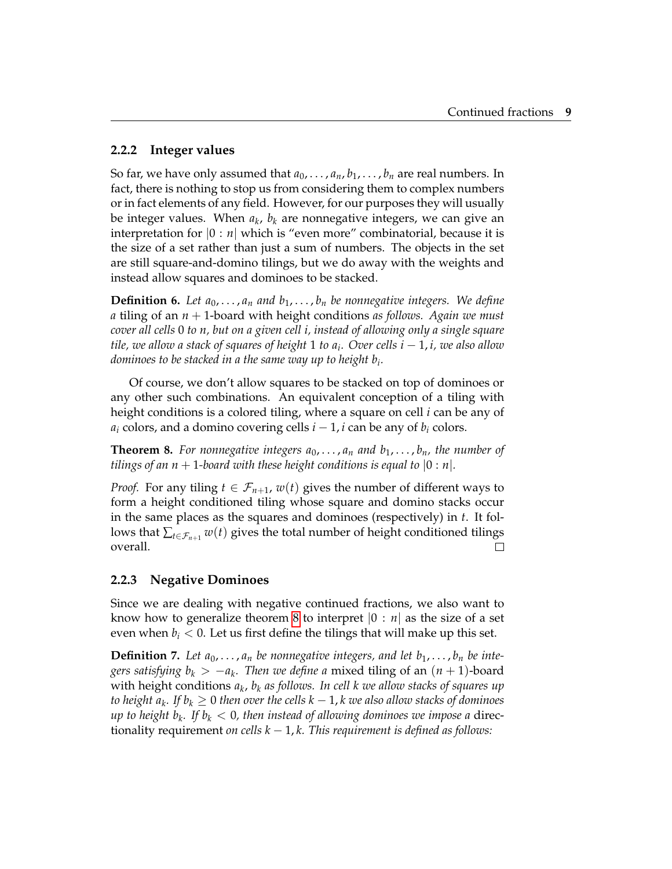#### **2.2.2 Integer values**

So far, we have only assumed that  $a_0, \ldots, a_n, b_1, \ldots, b_n$  are real numbers. In fact, there is nothing to stop us from considering them to complex numbers or in fact elements of any field. However, for our purposes they will usually be integer values. When *a<sup>k</sup>* , *b<sup>k</sup>* are nonnegative integers, we can give an interpretation for  $|0 : n|$  which is "even more" combinatorial, because it is the size of a set rather than just a sum of numbers. The objects in the set are still square-and-domino tilings, but we do away with the weights and instead allow squares and dominoes to be stacked.

**Definition 6.** Let  $a_0, \ldots, a_n$  and  $b_1, \ldots, b_n$  be nonnegative integers. We define *a* tiling of an *n* + 1-board with height conditions *as follows. Again we must cover all cells* 0 *to n, but on a given cell i, instead of allowing only a single square tile, we allow a stack of squares of height* 1 *to a<sup>i</sup> . Over cells i* − 1, *i, we also allow dominoes to be stacked in a the same way up to height b<sup>i</sup> .*

Of course, we don't allow squares to be stacked on top of dominoes or any other such combinations. An equivalent conception of a tiling with height conditions is a colored tiling, where a square on cell *i* can be any of  $a_i$  colors, and a domino covering cells  $i - 1$ , *i* can be any of  $b_i$  colors.

<span id="page-14-0"></span>**Theorem 8.** For nonnegative integers  $a_0, \ldots, a_n$  and  $b_1, \ldots, b_n$ , the number of *tilings of an n* + 1-board with these height conditions is equal to  $\vert 0 : n \vert$ .

*Proof.* For any tiling  $t \in \mathcal{F}_{n+1}$ ,  $w(t)$  gives the number of different ways to form a height conditioned tiling whose square and domino stacks occur in the same places as the squares and dominoes (respectively) in *t*. It follows that  $\sum_{t \in \mathcal{F}_{n+1}} w(t)$  gives the total number of height conditioned tilings overall.  $\Box$ 

#### **2.2.3 Negative Dominoes**

Since we are dealing with negative continued fractions, we also want to know how to generalize theorem [8](#page-14-0) to interpret  $|0 : n|$  as the size of a set even when  $b_i < 0$ . Let us first define the tilings that will make up this set.

**Definition 7.** Let  $a_0, \ldots, a_n$  be nonnegative integers, and let  $b_1, \ldots, b_n$  be inte*gers satisfying b<sup>k</sup>* > −*a<sup>k</sup> . Then we define a* mixed tiling of an (*n* + 1)-board with height conditions *a<sup>k</sup>* , *b<sup>k</sup> as follows. In cell k we allow stacks of squares up to height a<sup>k</sup> . If b<sup>k</sup>* ≥ 0 *then over the cells k* − 1, *k we also allow stacks of dominoes up to height b<sup>k</sup> . If b<sup>k</sup>* < 0*, then instead of allowing dominoes we impose a* directionality requirement *on cells k* − 1, *k. This requirement is defined as follows:*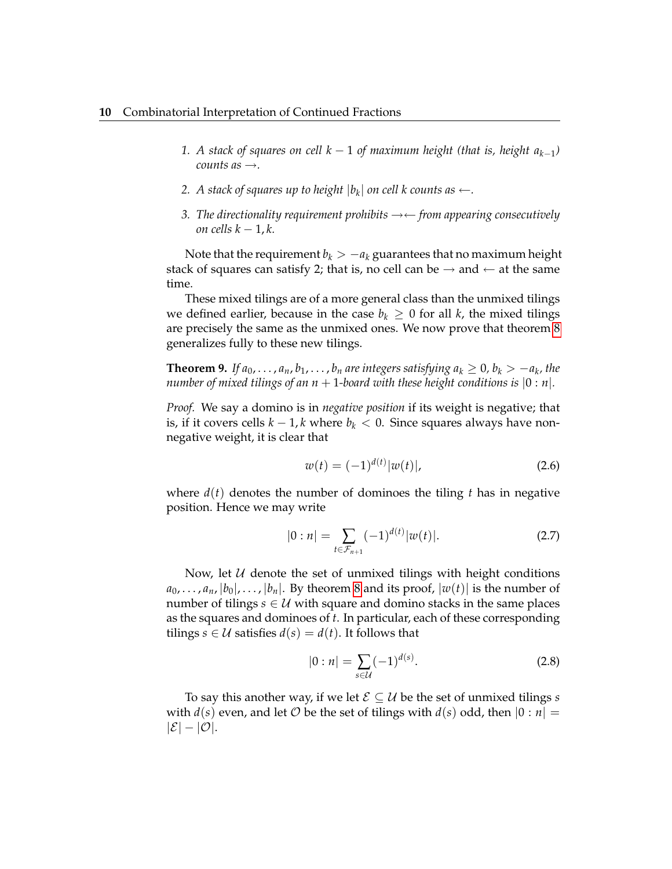- *1. A stack of squares on cell k* − 1 *of maximum height (that is, height ak*−<sup>1</sup> *) counts as*  $\rightarrow$ .
- 2. A stack of squares up to height  $|b_k|$  on cell k counts as  $\leftarrow$ .
- *3. The directionality requirement prohibits* →← *from appearing consecutively on cells k* − 1, *k.*

Note that the requirement  $b_k > -a_k$  guarantees that no maximum height stack of squares can satisfy 2; that is, no cell can be  $\rightarrow$  and  $\leftarrow$  at the same time.

These mixed tilings are of a more general class than the unmixed tilings we defined earlier, because in the case  $b_k \geq 0$  for all *k*, the mixed tilings are precisely the same as the unmixed ones. We now prove that theorem [8](#page-14-0) generalizes fully to these new tilings.

**Theorem 9.** If  $a_0, \ldots, a_n, b_1, \ldots, b_n$  are integers satisfying  $a_k \geq 0$ ,  $b_k > -a_k$ , the *number of mixed tilings of an*  $n + 1$ *-board with these height conditions is*  $[0 : n]$ .

*Proof.* We say a domino is in *negative position* if its weight is negative; that is, if it covers cells  $k - 1$ ,  $k$  where  $b_k < 0$ . Since squares always have nonnegative weight, it is clear that

$$
w(t) = (-1)^{d(t)} |w(t)|,
$$
\n(2.6)

where  $d(t)$  denotes the number of dominoes the tiling t has in negative position. Hence we may write

$$
|0:n| = \sum_{t \in \mathcal{F}_{n+1}} (-1)^{d(t)} |w(t)|.
$$
 (2.7)

Now, let  $U$  denote the set of unmixed tilings with height conditions  $a_0, \ldots, a_n, |b_0|, \ldots, |b_n|$ . By theorem [8](#page-14-0) and its proof,  $|w(t)|$  is the number of number of tilings  $s \in U$  with square and domino stacks in the same places as the squares and dominoes of *t*. In particular, each of these corresponding tilings *s*  $\in \mathcal{U}$  satisfies *d*(*s*) = *d*(*t*). It follows that

$$
|0:n| = \sum_{s \in \mathcal{U}} (-1)^{d(s)}.
$$
 (2.8)

To say this another way, if we let  $\mathcal{E} \subseteq \mathcal{U}$  be the set of unmixed tilings *s* with  $d(s)$  even, and let O be the set of tilings with  $d(s)$  odd, then  $|0 : n|$  =  $|\mathcal{E}| - |\mathcal{O}|.$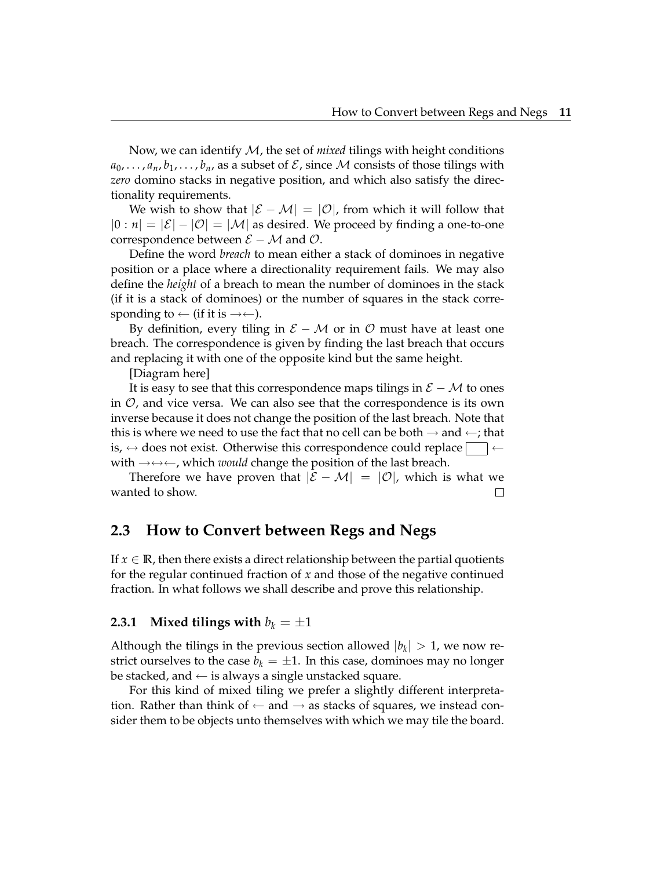Now, we can identify M, the set of *mixed* tilings with height conditions  $a_0, \ldots, a_n, b_1, \ldots, b_n$ , as a subset of  $\mathcal{E}$ , since M consists of those tilings with *zero* domino stacks in negative position, and which also satisfy the directionality requirements.

We wish to show that  $|\mathcal{E} - \mathcal{M}| = |\mathcal{O}|$ , from which it will follow that  $|0 : n| = |\mathcal{E}| - |\mathcal{O}| = |\mathcal{M}|$  as desired. We proceed by finding a one-to-one correspondence between  $\mathcal{E} - \mathcal{M}$  and  $\mathcal{O}$ .

Define the word *breach* to mean either a stack of dominoes in negative position or a place where a directionality requirement fails. We may also define the *height* of a breach to mean the number of dominoes in the stack (if it is a stack of dominoes) or the number of squares in the stack corresponding to  $\leftarrow$  (if it is  $\rightarrow \leftarrow$ ).

By definition, every tiling in  $\mathcal{E} - \mathcal{M}$  or in  $\mathcal{O}$  must have at least one breach. The correspondence is given by finding the last breach that occurs and replacing it with one of the opposite kind but the same height.

[Diagram here]

It is easy to see that this correspondence maps tilings in  $\mathcal{E} - \mathcal{M}$  to ones in  $\mathcal{O}$ , and vice versa. We can also see that the correspondence is its own inverse because it does not change the position of the last breach. Note that this is where we need to use the fact that no cell can be both  $\rightarrow$  and  $\leftarrow$ ; that is,  $\leftrightarrow$  does not exist. Otherwise this correspondence could replace  $\vert \leftarrow$ with →↔←, which *would* change the position of the last breach.

Therefore we have proven that  $|\mathcal{E} - \mathcal{M}| = |\mathcal{O}|$ , which is what we wanted to show. П

### <span id="page-16-0"></span>**2.3 How to Convert between Regs and Negs**

If  $x \in \mathbb{R}$ , then there exists a direct relationship between the partial quotients for the regular continued fraction of *x* and those of the negative continued fraction. In what follows we shall describe and prove this relationship.

#### **2.3.1 Mixed tilings with**  $b_k = \pm 1$

Although the tilings in the previous section allowed  $|b_k| > 1$ , we now restrict ourselves to the case  $b_k = \pm 1$ . In this case, dominoes may no longer be stacked, and  $\leftarrow$  is always a single unstacked square.

For this kind of mixed tiling we prefer a slightly different interpretation. Rather than think of  $\leftarrow$  and  $\rightarrow$  as stacks of squares, we instead consider them to be objects unto themselves with which we may tile the board.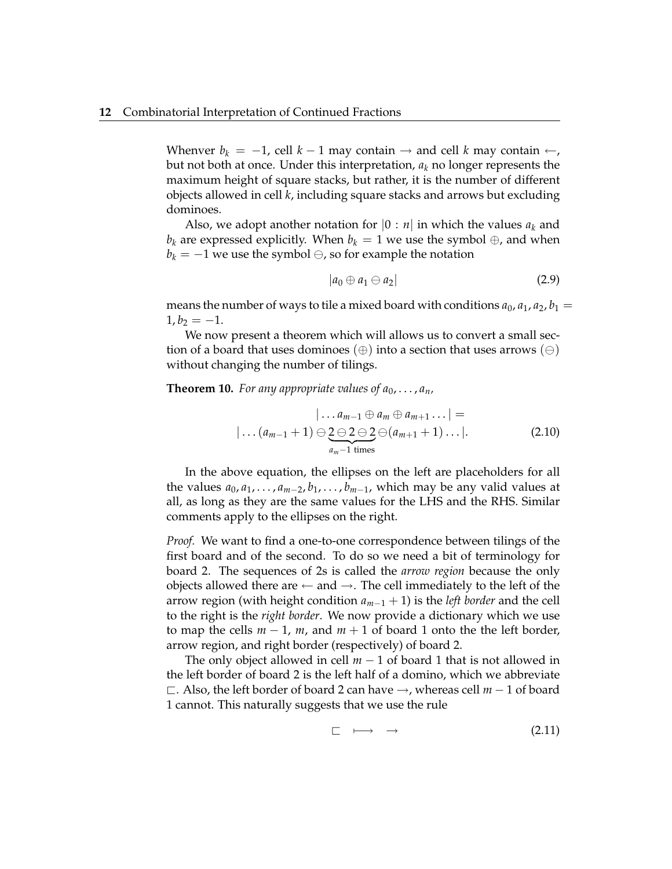Whenver  $b_k = -1$ , cell  $k - 1$  may contain  $\rightarrow$  and cell  $k$  may contain  $\leftarrow$ , but not both at once. Under this interpretation, *a<sup>k</sup>* no longer represents the maximum height of square stacks, but rather, it is the number of different objects allowed in cell *k*, including square stacks and arrows but excluding dominoes.

Also, we adopt another notation for  $|0 : n|$  in which the values  $a_k$  and *b*<sup>*k*</sup> are expressed explicitly. When *b*<sup>*k*</sup> = 1 we use the symbol ⊕, and when  $b_k = -1$  we use the symbol  $\ominus$ , so for example the notation

$$
|a_0 \oplus a_1 \ominus a_2| \tag{2.9}
$$

means the number of ways to tile a mixed board with conditions  $a_0$ ,  $a_1$ ,  $a_2$ ,  $b_1$  =  $1, b_2 = -1.$ 

We now present a theorem which will allows us to convert a small section of a board that uses dominoes  $(\oplus)$  into a section that uses arrows  $(\ominus)$ without changing the number of tilings.

<span id="page-17-1"></span>**Theorem 10.** For any appropriate values of  $a_0, \ldots, a_n$ ,

$$
|\ldots a_{m-1} \oplus a_m \oplus a_{m+1} \ldots| =
$$
  

$$
|\ldots (a_{m-1}+1) \ominus \underbrace{2 \ominus 2 \ominus 2}_{a_m-1 \text{ times}} \ominus (a_{m+1}+1) \ldots|.
$$
 (2.10)

In the above equation, the ellipses on the left are placeholders for all the values  $a_0, a_1, \ldots, a_{m-2}, b_1, \ldots, b_{m-1}$ , which may be any valid values at all, as long as they are the same values for the LHS and the RHS. Similar comments apply to the ellipses on the right.

*Proof.* We want to find a one-to-one correspondence between tilings of the first board and of the second. To do so we need a bit of terminology for board 2. The sequences of 2s is called the *arrow region* because the only objects allowed there are  $\leftarrow$  and  $\rightarrow$ . The cell immediately to the left of the arrow region (with height condition *am*−<sup>1</sup> + 1) is the *left border* and the cell to the right is the *right border*. We now provide a dictionary which we use to map the cells  $m - 1$ ,  $m$ , and  $m + 1$  of board 1 onto the the left border, arrow region, and right border (respectively) of board 2.

The only object allowed in cell *m* − 1 of board 1 that is not allowed in the left border of board 2 is the left half of a domino, which we abbreviate @. Also, the left border of board 2 can have →, whereas cell *m* − 1 of board 1 cannot. This naturally suggests that we use the rule

<span id="page-17-0"></span>
$$
\Box \quad \longmapsto \quad \rightarrow \qquad \qquad (2.11)
$$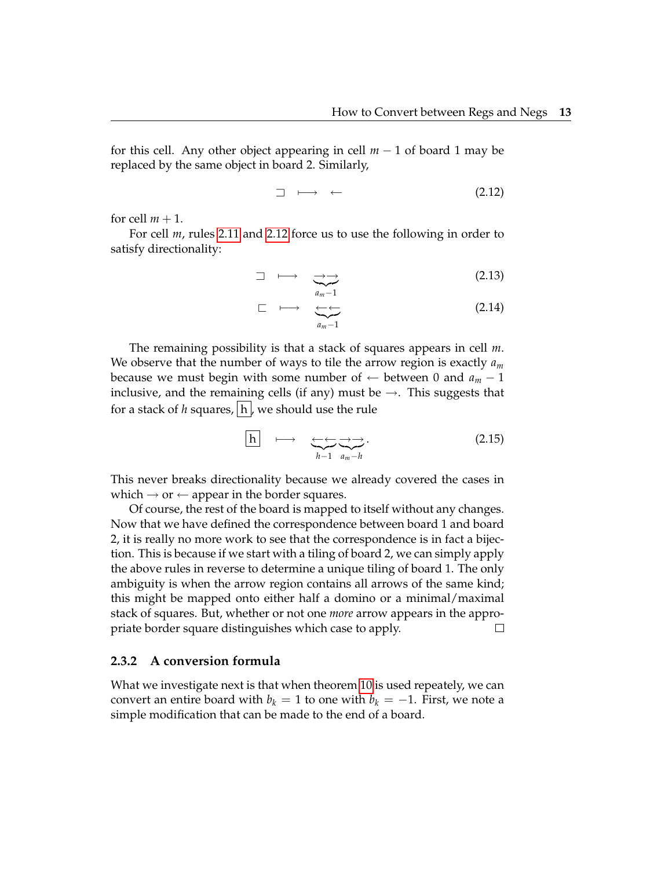for this cell. Any other object appearing in cell *m* − 1 of board 1 may be replaced by the same object in board 2. Similarly,

<span id="page-18-0"></span>
$$
\Box \longmapsto \leftarrow \qquad (2.12)
$$

for cell  $m + 1$ .

For cell *m*, rules [2.11](#page-17-0) and [2.12](#page-18-0) force us to use the following in order to satisfy directionality:

$$
\Box \longmapsto \sum_{a_m=1}^{\longrightarrow} \tag{2.13}
$$

$$
\Box \longmapsto \underbrace{\longleftrightarrow}_{a_m-1} \qquad (2.14)
$$

The remaining possibility is that a stack of squares appears in cell *m*. We observe that the number of ways to tile the arrow region is exactly *a<sup>m</sup>* because we must begin with some number of  $\leftarrow$  between 0 and  $a_m - 1$ inclusive, and the remaining cells (if any) must be  $\rightarrow$ . This suggests that for a stack of *h* squares,  $|h|$ , we should use the rule

$$
\boxed{h} \longrightarrow \underbrace{\longleftrightarrow}_{h-1} \underbrace{\longrightarrow}_{a_m-h} . \tag{2.15}
$$

This never breaks directionality because we already covered the cases in which  $\rightarrow$  or  $\leftarrow$  appear in the border squares.

Of course, the rest of the board is mapped to itself without any changes. Now that we have defined the correspondence between board 1 and board 2, it is really no more work to see that the correspondence is in fact a bijection. This is because if we start with a tiling of board 2, we can simply apply the above rules in reverse to determine a unique tiling of board 1. The only ambiguity is when the arrow region contains all arrows of the same kind; this might be mapped onto either half a domino or a minimal/maximal stack of squares. But, whether or not one *more* arrow appears in the appropriate border square distinguishes which case to apply.  $\Box$ 

#### **2.3.2 A conversion formula**

<span id="page-18-1"></span>What we investigate next is that when theorem [10](#page-17-1) is used repeately, we can convert an entire board with  $b_k = 1$  to one with  $b_k = -1$ . First, we note a simple modification that can be made to the end of a board.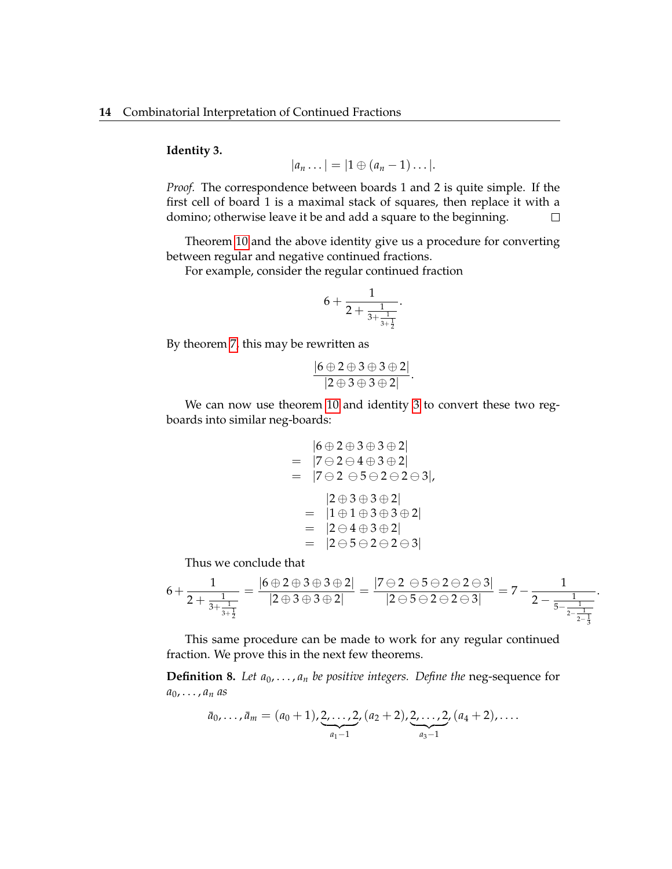#### **Identity 3.**

$$
|a_n \dots| = |1 \oplus (a_n - 1) \dots|.
$$

*Proof.* The correspondence between boards 1 and 2 is quite simple. If the first cell of board 1 is a maximal stack of squares, then replace it with a domino; otherwise leave it be and add a square to the beginning.  $\Box$ 

Theorem [10](#page-17-1) and the above identity give us a procedure for converting between regular and negative continued fractions.

For example, consider the regular continued fraction

$$
6 + \frac{1}{2 + \frac{1}{3 + \frac{1}{3 + \frac{1}{2}}}}.
$$

By theorem [7,](#page-12-1) this may be rewritten as

$$
\frac{|6 \oplus 2 \oplus 3 \oplus 3 \oplus 2|}{|2 \oplus 3 \oplus 3 \oplus 2|}.
$$

We can now use theorem [10](#page-17-1) and identity [3](#page-18-1) to convert these two regboards into similar neg-boards:

$$
|6 \oplus 2 \oplus 3 \oplus 3 \oplus 2|
$$
\n
$$
= |7 \ominus 2 \ominus 4 \oplus 3 \oplus 2|
$$
\n
$$
= |7 \ominus 2 \ominus 5 \ominus 2 \ominus 2 \ominus 3|,
$$
\n
$$
|2 \oplus 3 \oplus 3 \oplus 2|
$$
\n
$$
= |1 \oplus 1 \oplus 3 \oplus 3 \oplus 2|
$$
\n
$$
= |2 \ominus 4 \oplus 3 \oplus 2|
$$
\n
$$
= |2 \ominus 5 \ominus 2 \ominus 2 \ominus 3|
$$

Thus we conclude that

$$
6 + \frac{1}{2 + \frac{1}{3 + \frac{1}{3 + \frac{1}{2}}}} = \frac{|6 \oplus 2 \oplus 3 \oplus 3 \oplus 2|}{|2 \oplus 3 \oplus 3 \oplus 2|} = \frac{|7 \ominus 2 \ominus 5 \ominus 2 \ominus 2 \ominus 3|}{|2 \ominus 5 \ominus 2 \ominus 2 \ominus 3|} = 7 - \frac{1}{2 - \frac{1}{5 - \frac{1}{2 - \frac{1}{3}}}}.
$$

This same procedure can be made to work for any regular continued fraction. We prove this in the next few theorems.

**Definition 8.** Let  $a_0, \ldots, a_n$  be positive integers. Define the neg-sequence for  $a_0$ , . . . ,  $a_n$  *as* 

$$
\bar{a}_0,\ldots,\bar{a}_m=(a_0+1),\underbrace{2,\ldots,2}_{a_1-1}, (a_2+2),\underbrace{2,\ldots,2}_{a_3-1}, (a_4+2),\ldots
$$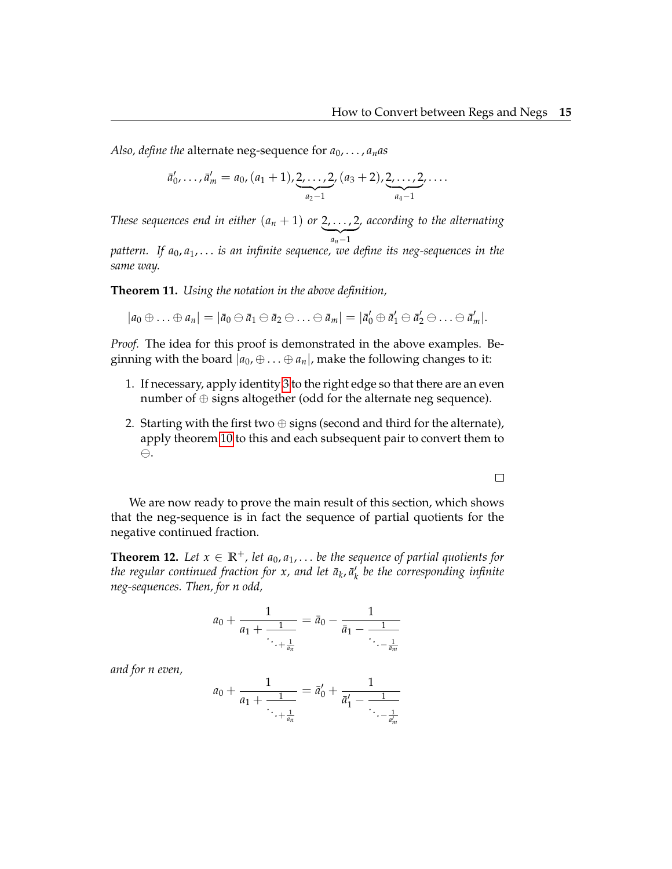*Also, define the* alternate neg-sequence for  $a_0, \ldots, a_n$  *as* 

$$
\bar{a}'_0, \ldots, \bar{a}'_m = a_0, (a_1 + 1), \underbrace{2, \ldots, 2}_{a_2 - 1}, (a_3 + 2), \underbrace{2, \ldots, 2}_{a_4 - 1}, \ldots
$$

*These sequences end in either*  $(a_n + 1)$  *or* 2, . . . , 2  $a_n-1$ *, according to the alternating*

*pattern. If a*0, *a*1, . . . *is an infinite sequence, we define its neg-sequences in the same way.*

<span id="page-20-0"></span>**Theorem 11.** *Using the notation in the above definition,*

 $|a_0 \oplus \ldots \oplus a_n| = |\bar{a}_0 \ominus \bar{a}_1 \ominus \bar{a}_2 \ominus \ldots \ominus \bar{a}_m| = |\bar{a}'_0 \oplus \bar{a}'_1 \ominus \bar{a}'_2 \ominus \ldots \ominus \bar{a}'_m|.$ 

*Proof.* The idea for this proof is demonstrated in the above examples. Beginning with the board  $|a_0, \oplus \ldots \oplus a_n|$ , make the following changes to it:

- 1. If necessary, apply identity [3](#page-18-1) to the right edge so that there are an even number of ⊕ signs altogether (odd for the alternate neg sequence).
- 2. Starting with the first two  $\oplus$  signs (second and third for the alternate), apply theorem [10](#page-17-1) to this and each subsequent pair to convert them to  $\ominus$ .

 $\Box$ 

We are now ready to prove the main result of this section, which shows that the neg-sequence is in fact the sequence of partial quotients for the negative continued fraction.

**Theorem 12.** Let  $x \in \mathbb{R}^+$ , let  $a_0, a_1, \ldots$  be the sequence of partial quotients for the regular continued fraction for x, and let  $\bar{a}_k, \bar{a}'_k$  be the corresponding infinite *neg-sequences. Then, for n odd,*

$$
a_0 + \frac{1}{a_1 + \frac{1}{\ddots + \frac{1}{a_n}}} = \bar{a}_0 - \frac{1}{\bar{a}_1 - \frac{1}{\ddots - \frac{1}{\bar{a}_m}}}
$$

*and for n even,*

$$
a_0 + \frac{1}{a_1 + \frac{1}{\ddots + \frac{1}{a_n}}} = \bar{a}'_0 + \frac{1}{\bar{a}'_1 - \frac{1}{\ddots - \frac{1}{\bar{a}'_m}}}
$$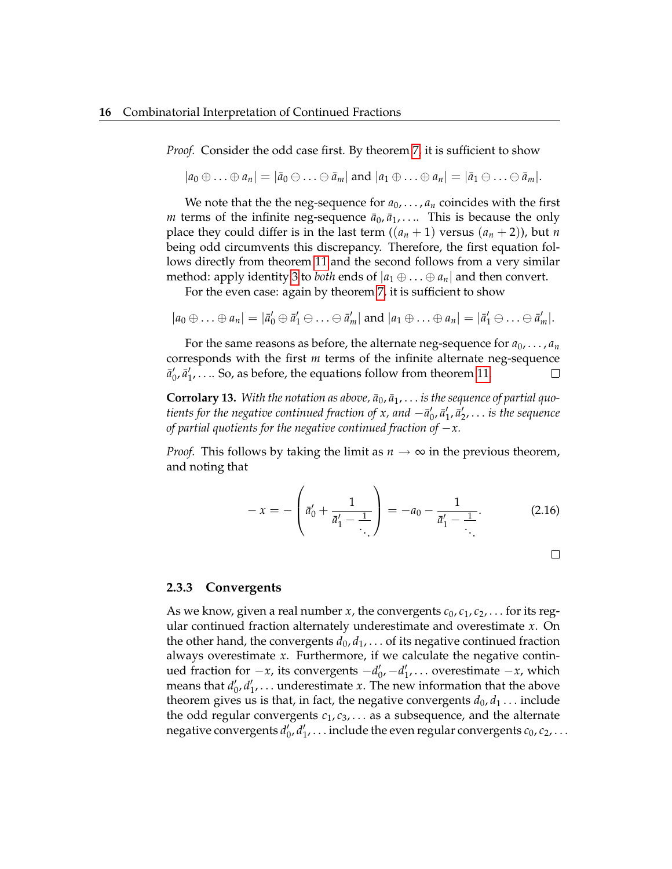*Proof.* Consider the odd case first. By theorem [7,](#page-12-1) it is sufficient to show

 $|a_0 \oplus ... \oplus a_n| = |\bar{a}_0 \ominus ... \ominus \bar{a}_m|$  and  $|a_1 \oplus ... \oplus a_n| = |\bar{a}_1 \ominus ... \ominus \bar{a}_m|$ .

We note that the the neg-sequence for  $a_0, \ldots, a_n$  coincides with the first *m* terms of the infinite neg-sequence  $\bar{a}_0$ ,  $\bar{a}_1$ , .... This is because the only place they could differ is in the last term  $((a_n + 1)$  versus  $(a_n + 2)$ ), but *n* being odd circumvents this discrepancy. Therefore, the first equation follows directly from theorem [11](#page-20-0) and the second follows from a very similar method: apply identity [3](#page-18-1) to *both* ends of  $|a_1 \oplus ... \oplus a_n|$  and then convert.

For the even case: again by theorem [7,](#page-12-1) it is sufficient to show

$$
|a_0 \oplus \ldots \oplus a_n| = |\bar{a}'_0 \oplus \bar{a}'_1 \ominus \ldots \ominus \bar{a}'_m| \text{ and } |a_1 \oplus \ldots \oplus a_n| = |\bar{a}'_1 \ominus \ldots \ominus \bar{a}'_m|.
$$

For the same reasons as before, the alternate neg-sequence for  $a_0, \ldots, a_n$ corresponds with the first *m* terms of the infinite alternate neg-sequence  $\bar{a}'_0$ ,  $\bar{a}'_1$ , ... So, as before, the equations follow from theorem [11.](#page-20-0)  $\Box$ 

**Corrolary 13.** With the notation as above,  $\bar{a}_0$ ,  $\bar{a}_1$ , ... is the sequence of partial quo*tients for the negative continued fraction of x, and*  $-$  $\bar{a}'_0$ *,*  $\bar{a}'_1$ *,*  $\bar{a}'_2$ *,*  $\dots$  *<i>is the sequence of partial quotients for the negative continued fraction of* −*x.*

*Proof.* This follows by taking the limit as  $n \to \infty$  in the previous theorem, and noting that

$$
-x = -\left(\vec{a}'_0 + \frac{1}{\vec{a}'_1 - \frac{1}{\ddots}}\right) = -a_0 - \frac{1}{\vec{a}'_1 - \frac{1}{\ddots}}.
$$
 (2.16)

#### **2.3.3 Convergents**

As we know, given a real number *x*, the convergents  $c_0$ ,  $c_1$ ,  $c_2$ , ... for its regular continued fraction alternately underestimate and overestimate *x*. On the other hand, the convergents  $d_0, d_1, \ldots$  of its negative continued fraction always overestimate *x*. Furthermore, if we calculate the negative continued fraction for  $-x$ , its convergents  $-d'_0$ ,  $-d'_1$ , ... overestimate  $-x$ , which means that  $d'_0, d'_1, \ldots$  underestimate *x*. The new information that the above theorem gives us is that, in fact, the negative convergents  $d_0, d_1 \ldots$  include the odd regular convergents *c*1, *c*3, . . . as a subsequence, and the alternate negative convergents  $d'_0$ ,  $d'_1$ , . . . include the even regular convergents  $c_0$ ,  $c_2$ , . . .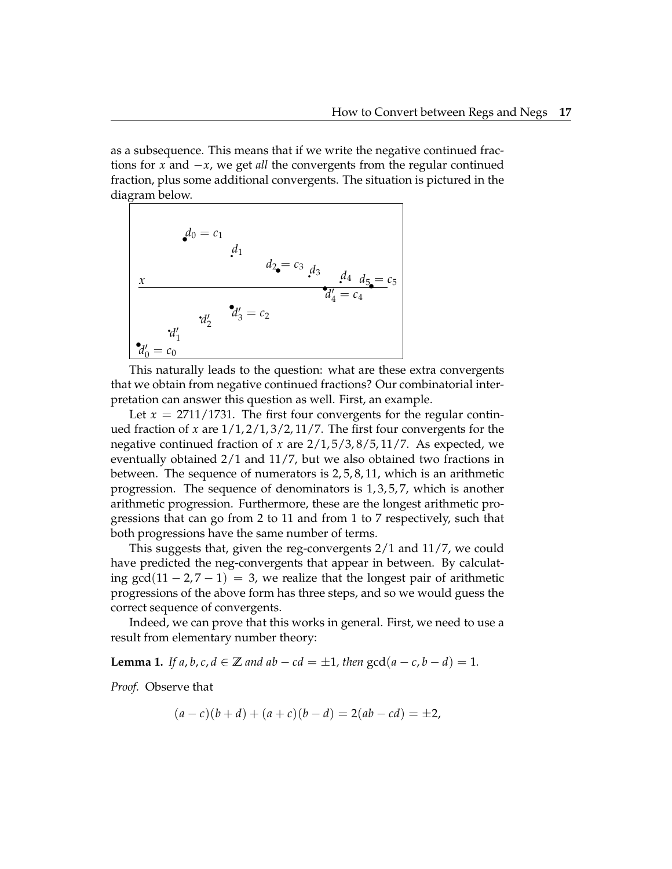as a subsequence. This means that if we write the negative continued fractions for *x* and −*x*, we get *all* the convergents from the regular continued fraction, plus some additional convergents. The situation is pictured in the diagram below.

$$
d_0 = c_1
$$
  
\n $d_1$   
\n $d_2 = c_3$   
\n $d_3$   
\n $d_4$   
\n $d_5 = c_5$   
\n $d'_4 = c_4$   
\n $d'_1$   
\n $d'_2$   
\n $d'_3 = c_2$   
\n $d'_1$   
\n $d'_0 = c_0$ 

This naturally leads to the question: what are these extra convergents that we obtain from negative continued fractions? Our combinatorial interpretation can answer this question as well. First, an example.

Let  $x = 2711/1731$ . The first four convergents for the regular continued fraction of *x* are 1/1, 2/1, 3/2, 11/7. The first four convergents for the negative continued fraction of *x* are 2/1, 5/3, 8/5, 11/7. As expected, we eventually obtained 2/1 and 11/7, but we also obtained two fractions in between. The sequence of numerators is 2, 5, 8, 11, which is an arithmetic progression. The sequence of denominators is 1, 3, 5, 7, which is another arithmetic progression. Furthermore, these are the longest arithmetic progressions that can go from 2 to 11 and from 1 to 7 respectively, such that both progressions have the same number of terms.

This suggests that, given the reg-convergents 2/1 and 11/7, we could have predicted the neg-convergents that appear in between. By calculating gcd(11 – 2,7 – 1) = 3, we realize that the longest pair of arithmetic progressions of the above form has three steps, and so we would guess the correct sequence of convergents.

Indeed, we can prove that this works in general. First, we need to use a result from elementary number theory:

**Lemma 1.** *If a*, *b*, *c*, *d*  $\in \mathbb{Z}$  *and ab* − *cd* = ±1, *then*  $gcd(a - c, b - d) = 1$ *.* 

*Proof.* Observe that

$$
(a-c)(b+d) + (a+c)(b-d) = 2(ab - cd) = \pm 2,
$$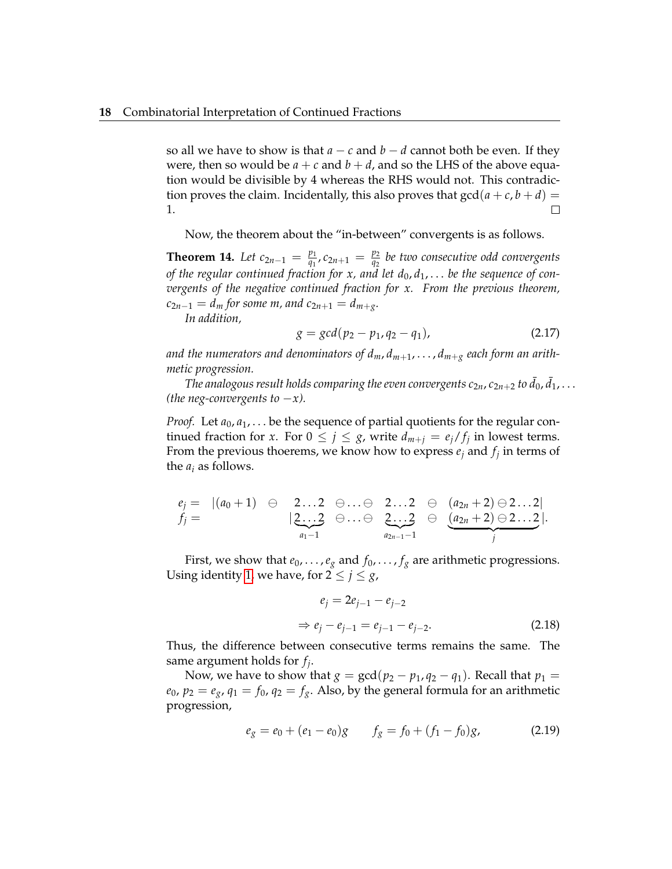so all we have to show is that  $a - c$  and  $b - d$  cannot both be even. If they were, then so would be  $a + c$  and  $b + d$ , and so the LHS of the above equation would be divisible by 4 whereas the RHS would not. This contradiction proves the claim. Incidentally, this also proves that  $gcd(a + c, b + d)$  = 1.  $\Box$ 

Now, the theorem about the "in-between" convergents is as follows.

**Theorem 14.** *Let*  $c_{2n-1} = \frac{p_1}{q_1}$  $\frac{p_1}{q_1}$ ,  $c_{2n+1} = \frac{p_2}{q_2}$ *q*2 *be two consecutive odd convergents of the regular continued fraction for x, and let d*0, *d*1, . . . *be the sequence of convergents of the negative continued fraction for x. From the previous theorem,*  $c_{2n-1} = d_m$  *for some m, and*  $c_{2n+1} = d_{m+g}$ *.* 

*In addition,*

$$
g = \gcd(p_2 - p_1, q_2 - q_1), \tag{2.17}
$$

and the numerators and denominators of  $d_m, d_{m+1}, \ldots, d_{m+g}$  each form an arith*metic progression.*

The analogous result holds comparing the even convergents  $c_{2n}$ ,  $c_{2n+2}$  to  $\bar{d}_0$ ,  $\bar{d}_1$ ,  $\dots$ *(the neg-convergents to*  $-x$ *).* 

*Proof.* Let  $a_0, a_1, \ldots$  be the sequence of partial quotients for the regular continued fraction for *x*. For  $0 \leq j \leq g$ , write  $d_{m+j} = e_j/f_j$  in lowest terms. From the previous thoerems, we know how to express  $e_j$  and  $f_j$  in terms of the *a<sup>i</sup>* as follows.

$$
e_j = |(a_0 + 1) \oplus 2...2 \oplus ... \oplus 2...2 \oplus (a_{2n} + 2) \oplus 2...2|
$$
  
\n
$$
f_j = |(a_0 + 1) \oplus 2...2 \oplus ... \oplus 2...2 \oplus (a_{2n} + 2) \oplus 2...2|
$$
  
\n
$$
a_{2n-1} - 1 \oplus a_{2n-1} - 1 \oplus a_{2n-1} - 1
$$

First, we show that  $e_0, \ldots, e_g$  and  $f_0, \ldots, f_g$  are arithmetic progressions. Using identity [1,](#page-11-0) we have, for  $2 \le j \le g$ ,

$$
e_j = 2e_{j-1} - e_{j-2}
$$
  
\n
$$
\Rightarrow e_j - e_{j-1} = e_{j-1} - e_{j-2}.
$$
 (2.18)

Thus, the difference between consecutive terms remains the same. The same argument holds for *f<sup>j</sup>* .

Now, we have to show that  $g = \gcd(p_2 - p_1, q_2 - q_1)$ . Recall that  $p_1 =$  $e_0$ ,  $p_2 = e_g$ ,  $q_1 = f_0$ ,  $q_2 = f_g$ . Also, by the general formula for an arithmetic progression,

$$
e_g = e_0 + (e_1 - e_0)g \t f_g = f_0 + (f_1 - f_0)g,
$$
 (2.19)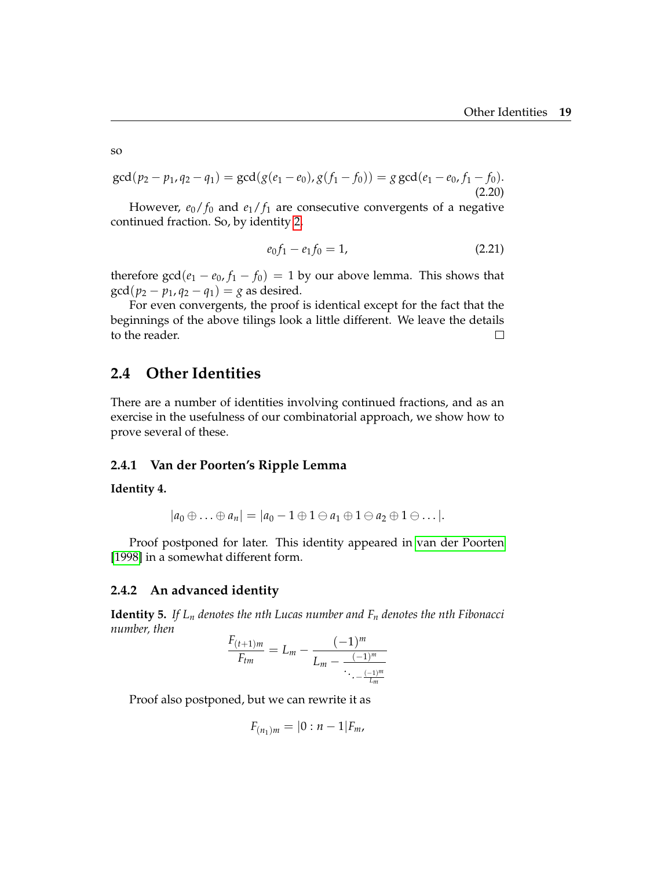$$
\gcd(p_2 - p_1, q_2 - q_1) = \gcd(g(e_1 - e_0), g(f_1 - f_0)) = g \gcd(e_1 - e_0, f_1 - f_0).
$$
\n(2.20)

However,  $e_0/f_0$  and  $e_1/f_1$  are consecutive convergents of a negative continued fraction. So, by identity [2,](#page-12-2)

$$
e_0 f_1 - e_1 f_0 = 1,\t\t(2.21)
$$

therefore  $gcd(e_1 - e_0, f_1 - f_0) = 1$  by our above lemma. This shows that  $gcd(p_2 - p_1, q_2 - q_1) = g$  as desired.

For even convergents, the proof is identical except for the fact that the beginnings of the above tilings look a little different. We leave the details to the reader.  $\Box$ 

### <span id="page-24-0"></span>**2.4 Other Identities**

There are a number of identities involving continued fractions, and as an exercise in the usefulness of our combinatorial approach, we show how to prove several of these.

#### **2.4.1 Van der Poorten's Ripple Lemma**

**Identity 4.**

$$
|a_0 \oplus \ldots \oplus a_n| = |a_0 - 1 \oplus 1 \ominus a_1 \oplus 1 \ominus a_2 \oplus 1 \ominus \ldots|.
$$

Proof postponed for later. This identity appeared in [van der Poorten](#page-28-5) [\[1998\]](#page-28-5) in a somewhat different form.

#### **2.4.2 An advanced identity**

**Identity 5.** *If L<sup>n</sup> denotes the nth Lucas number and F<sup>n</sup> denotes the nth Fibonacci number, then*

$$
\frac{F_{(t+1)m}}{F_{tm}} = L_m - \frac{(-1)^m}{L_m - \frac{(-1)^m}{\ddots - \frac{(-1)^m}{L_m}}}
$$

Proof also postponed, but we can rewrite it as

$$
F_{(n_1)m} = |0:n-1|F_m,
$$

so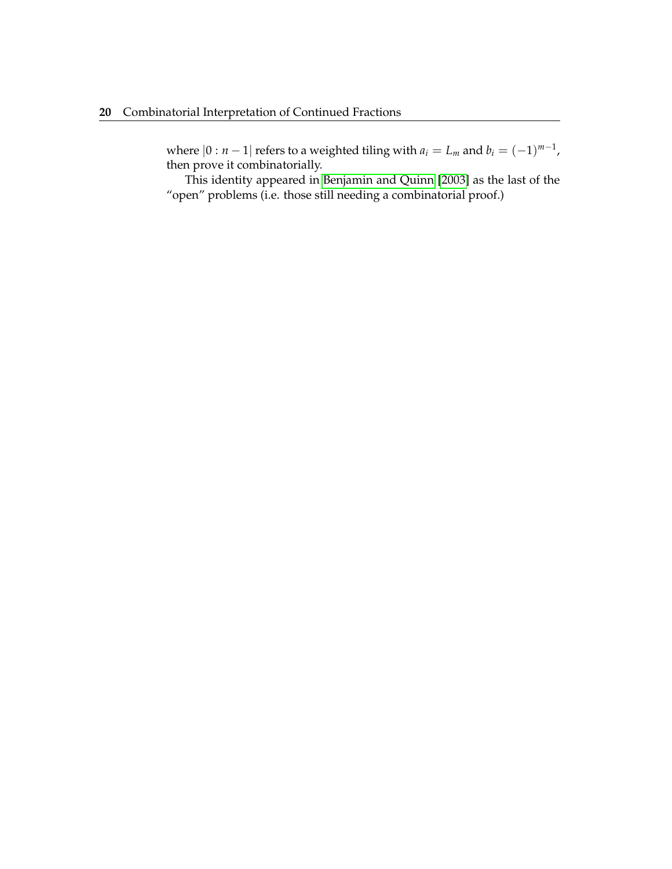where  $|0:n-1|$  refers to a weighted tiling with  $a_i = L_m$  and  $b_i = (-1)^{m-1}$ , then prove it combinatorially.

This identity appeared in [Benjamin and Quinn](#page-28-0) [\[2003\]](#page-28-0) as the last of the "open" problems (i.e. those still needing a combinatorial proof.)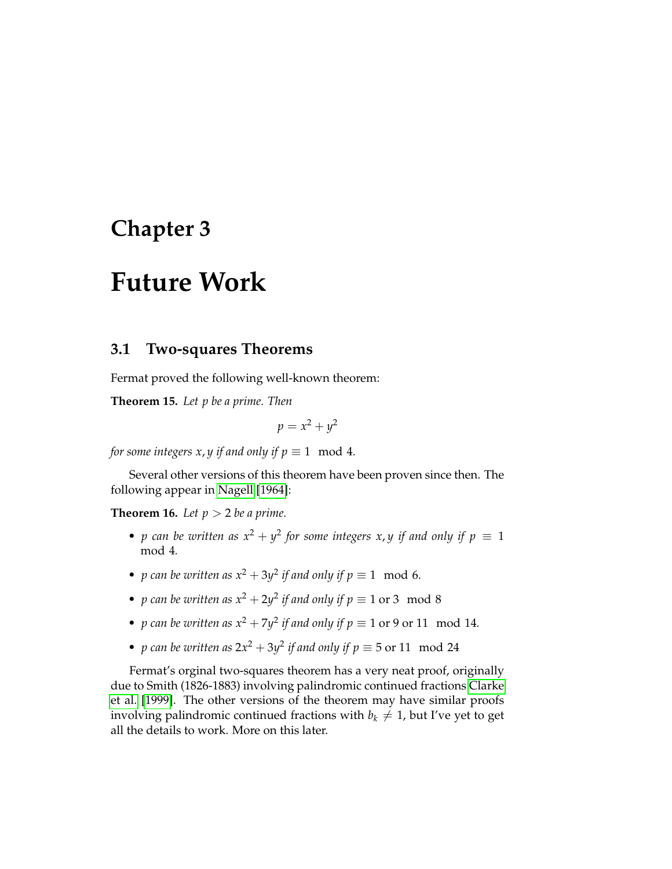# <span id="page-26-0"></span>**Chapter 3**

# **Future Work**

### <span id="page-26-1"></span>**3.1 Two-squares Theorems**

Fermat proved the following well-known theorem:

**Theorem 15.** *Let p be a prime. Then*

$$
p = x^2 + y^2
$$

*for some integers x, y if and only if*  $p \equiv 1 \mod 4$ *.* 

Several other versions of this theorem have been proven since then. The following appear in [Nagell](#page-28-6) [\[1964\]](#page-28-6):

**Theorem 16.** *Let*  $p > 2$  *be a prime.* 

- *p* can be written as  $x^2 + y^2$  for some integers x, *y* if and only if  $p \equiv 1$ mod 4*.*
- *p* can be written as  $x^2 + 3y^2$  if and only if  $p \equiv 1 \mod 6$ .
- *p* can be written as  $x^2 + 2y^2$  if and only if  $p \equiv 1$  or 3 mod 8
- *p* can be written as  $x^2 + 7y^2$  if and only if  $p \equiv 1$  or 9 or 11 mod 14*.*
- *p* can be written as  $2x^2 + 3y^2$  if and only if  $p \equiv 5$  or 11 mod 24

Fermat's orginal two-squares theorem has a very neat proof, originally due to Smith (1826-1883) involving palindromic continued fractions [Clarke](#page-28-4) [et al.](#page-28-4) [\[1999\]](#page-28-4). The other versions of the theorem may have similar proofs involving palindromic continued fractions with  $b_k \neq 1$ , but I've yet to get all the details to work. More on this later.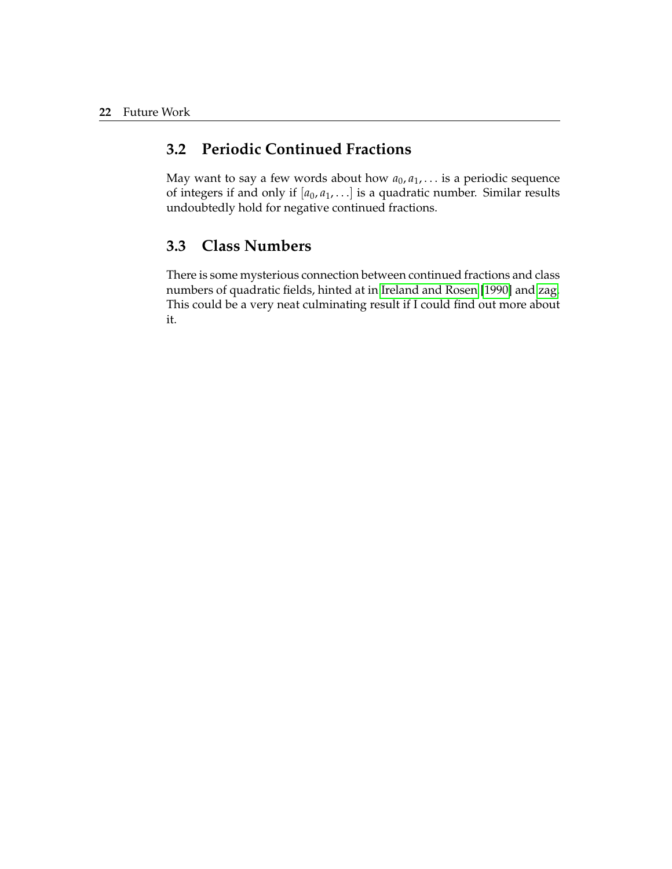## <span id="page-27-0"></span>**3.2 Periodic Continued Fractions**

May want to say a few words about how  $a_0, a_1, \ldots$  is a periodic sequence of integers if and only if  $[a_0, a_1, \ldots]$  is a quadratic number. Similar results undoubtedly hold for negative continued fractions.

## <span id="page-27-1"></span>**3.3 Class Numbers**

There is some mysterious connection between continued fractions and class numbers of quadratic fields, hinted at in [Ireland and Rosen](#page-28-7) [\[1990\]](#page-28-7) and [zag.](#page-28-8) This could be a very neat culminating result if I could find out more about it.